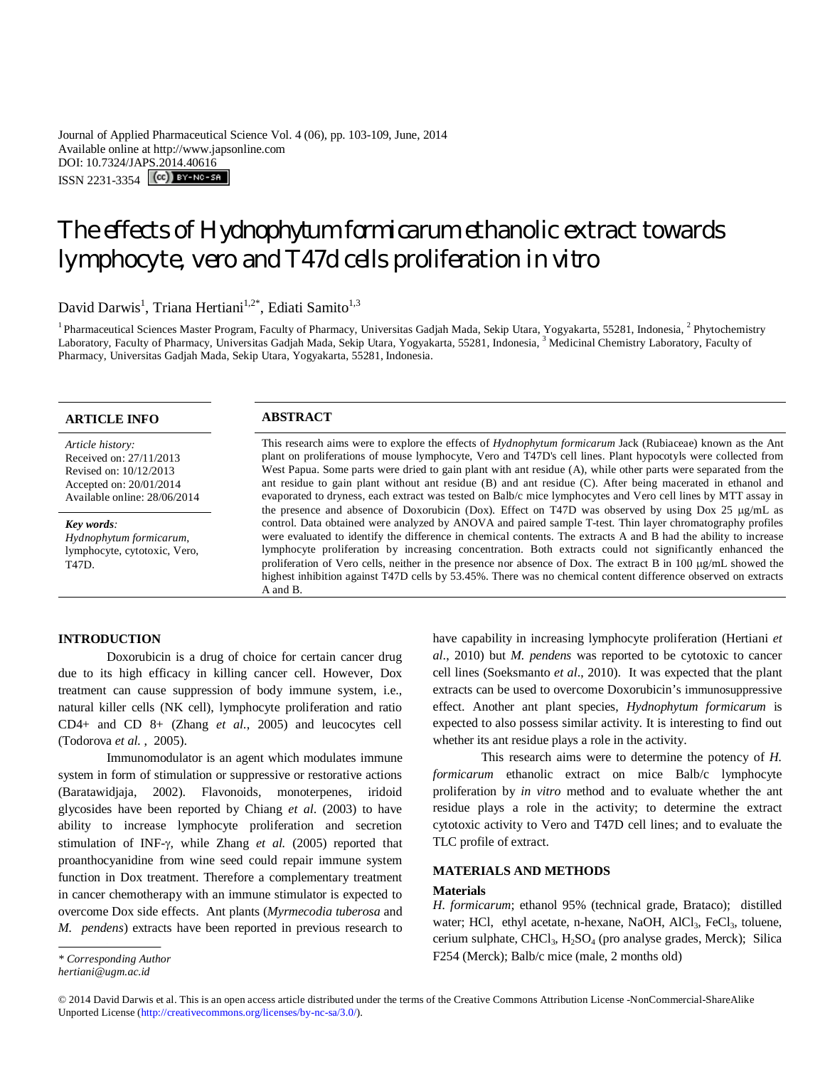Journal of Applied Pharmaceutical Science Vol. 4 (06), pp. 103-109, June, 2014 Available online at http://www.japsonline.com DOI: 10.7324/JAPS.2014.40616 ISSN 2231-3354 (CC) BY-NO-SA

# The effects of *Hydnophytum formicarum* ethanolic extract towards lymphocyte, vero and T47d cells proliferation *in vitro*

David Darwis<sup>1</sup>, Triana Hertiani<sup>1,2\*</sup>, Ediati Samito<sup>1,3</sup>

<sup>1</sup> Pharmaceutical Sciences Master Program, Faculty of Pharmacy, Universitas Gadjah Mada, Sekip Utara, Yogyakarta, 55281, Indonesia, <sup>2</sup> Phytochemistry Laboratory, Faculty of Pharmacy, Universitas Gadjah Mada, Sekip Utara, Yogyakarta, 55281, Indonesia, <sup>3</sup> Medicinal Chemistry Laboratory, Faculty of Pharmacy, Universitas Gadjah Mada, Sekip Utara, Yogyakarta, 55281, Indonesia.

# **ARTICLE INFO ABSTRACT**

*Article history:* Received on: 27/11/2013 Revised on: 10/12/2013 Accepted on: 20/01/2014 Available online: 28/06/2014

*Key words: Hydnophytum formicarum*, lymphocyte, cytotoxic, Vero, T47D.

This research aims were to explore the effects of *Hydnophytum formicarum* Jack (Rubiaceae) known as the Ant plant on proliferations of mouse lymphocyte, Vero and T47D's cell lines. Plant hypocotyls were collected from West Papua. Some parts were dried to gain plant with ant residue (A), while other parts were separated from the ant residue to gain plant without ant residue (B) and ant residue (C). After being macerated in ethanol and evaporated to dryness, each extract was tested on Balb/c mice lymphocytes and Vero cell lines by MTT assay in the presence and absence of Doxorubicin (Dox). Effect on T47D was observed by using Dox 25 µg/mL as control. Data obtained were analyzed by ANOVA and paired sample T-test*.* Thin layer chromatography profiles were evaluated to identify the difference in chemical contents. The extracts A and B had the ability to increase lymphocyte proliferation by increasing concentration. Both extracts could not significantly enhanced the proliferation of Vero cells, neither in the presence nor absence of Dox. The extract B in 100 µg/mL showed the highest inhibition against T47D cells by 53.45%. There was no chemical content difference observed on extracts A and B.

# **INTRODUCTION**

Doxorubicin is a drug of choice for certain cancer drug due to its high efficacy in killing cancer cell. However, Dox treatment can cause suppression of body immune system, i.e., natural killer cells (NK cell), lymphocyte proliferation and ratio CD4+ and CD 8+ (Zhang *et al.*, 2005) and leucocytes cell (Todorova *et al.* , 2005).

Immunomodulator is an agent which modulates immune system in form of stimulation or suppressive or restorative actions (Baratawidjaja, 2002). Flavonoids, monoterpenes, iridoid glycosides have been reported by Chiang *et al*. (2003) to have ability to increase lymphocyte proliferation and secretion stimulation of INF- $\gamma$ , while Zhang *et al.* (2005) reported that proanthocyanidine from wine seed could repair immune system function in Dox treatment. Therefore a complementary treatment in cancer chemotherapy with an immune stimulator is expected to overcome Dox side effects. Ant plants (*Myrmecodia tuberosa* and *M. pendens*) extracts have been reported in previous research to have capability in increasing lymphocyte proliferation (Hertiani *et al*., 2010) but *M. pendens* was reported to be cytotoxic to cancer cell lines (Soeksmanto *et al*., 2010). It was expected that the plant extracts can be used to overcome Doxorubicin's immunosuppressive effect. Another ant plant species, *Hydnophytum formicarum* is expected to also possess similar activity. It is interesting to find out whether its ant residue plays a role in the activity.

This research aims were to determine the potency of *H. formicarum* ethanolic extract on mice Balb/c lymphocyte proliferation by *in vitro* method and to evaluate whether the ant residue plays a role in the activity; to determine the extract cytotoxic activity to Vero and T47D cell lines; and to evaluate the TLC profile of extract.

### **MATERIALS AND METHODS**

#### **Materials**

*H. formicarum*; ethanol 95% (technical grade, Brataco); distilled water; HCl, ethyl acetate, n-hexane, NaOH, AlCl<sub>3</sub>, FeCl<sub>3</sub>, toluene, cerium sulphate, CHCl<sub>3</sub>, H<sub>2</sub>SO<sub>4</sub> (pro analyse grades, Merck); Silica F254 (Merck); Balb/c mice (male, 2 months old)

*<sup>\*</sup> Corresponding Author*

*hertiani@ugm.ac.id*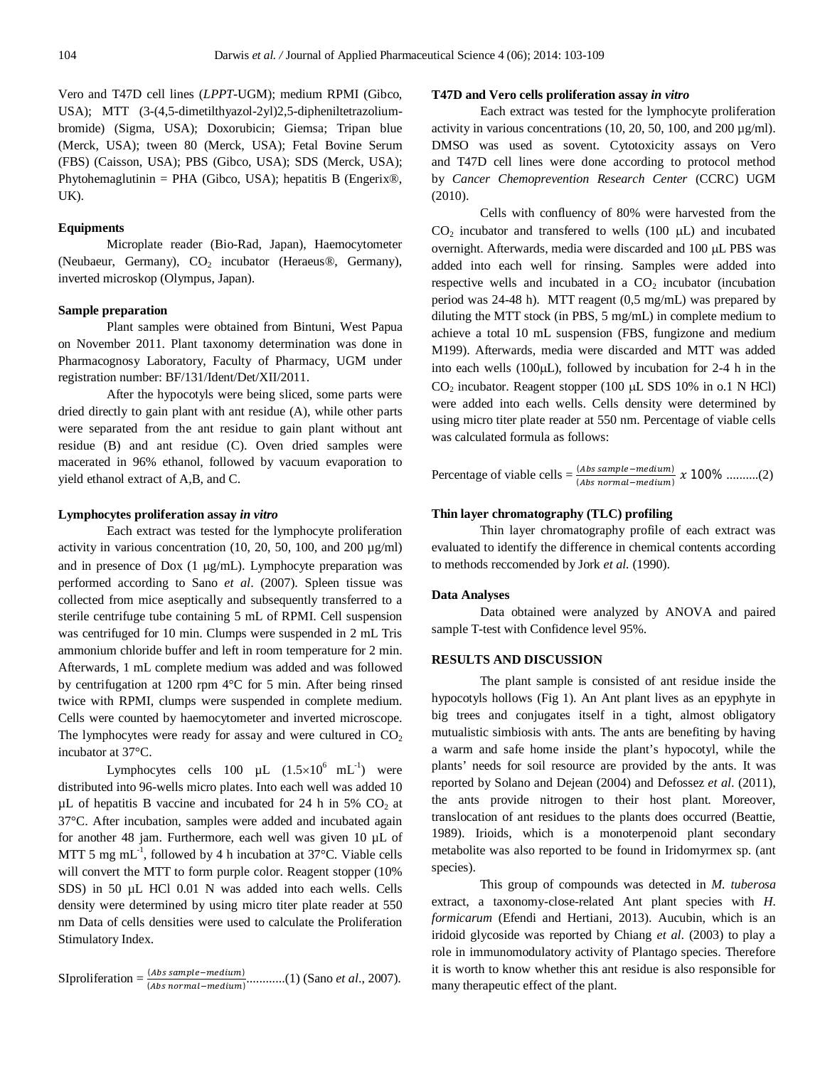Vero and T47D cell lines (*LPPT*-UGM); medium RPMI (Gibco, USA); MTT (3-(4,5-dimetilthyazol-2yl)2,5-dipheniltetrazoliumbromide) (Sigma, USA); Doxorubicin; Giemsa; Tripan blue (Merck, USA); tween 80 (Merck, USA); Fetal Bovine Serum (FBS) (Caisson, USA); PBS (Gibco, USA); SDS (Merck, USA); Phytohemaglutinin = PHA (Gibco, USA); hepatitis B (Engerix®, UK).

### **Equipments**

Microplate reader (Bio-Rad, Japan), Haemocytometer (Neubaeur, Germany),  $CO<sub>2</sub>$  incubator (Heraeus®, Germany), inverted microskop (Olympus, Japan).

# **Sample preparation**

Plant samples were obtained from Bintuni, West Papua on November 2011. Plant taxonomy determination was done in Pharmacognosy Laboratory, Faculty of Pharmacy, UGM under registration number: BF/131/Ident/Det/XII/2011.

After the hypocotyls were being sliced, some parts were dried directly to gain plant with ant residue (A), while other parts were separated from the ant residue to gain plant without ant residue (B) and ant residue (C). Oven dried samples were macerated in 96% ethanol, followed by vacuum evaporation to yield ethanol extract of A,B, and C.

#### **Lymphocytes proliferation assay** *in vitro*

Each extract was tested for the lymphocyte proliferation activity in various concentration (10, 20, 50, 100, and 200 µg/ml) and in presence of Dox  $(1 \mu g/mL)$ . Lymphocyte preparation was performed according to Sano *et al*. (2007). Spleen tissue was collected from mice aseptically and subsequently transferred to a sterile centrifuge tube containing 5 mL of RPMI. Cell suspension was centrifuged for 10 min. Clumps were suspended in 2 mL Tris ammonium chloride buffer and left in room temperature for 2 min. Afterwards, 1 mL complete medium was added and was followed by centrifugation at 1200 rpm 4°C for 5 min. After being rinsed twice with RPMI, clumps were suspended in complete medium. Cells were counted by haemocytometer and inverted microscope. The lymphocytes were ready for assay and were cultured in  $CO<sub>2</sub>$ incubator at 37°C.

Lymphocytes cells 100  $\mu$ L (1.5×10<sup>6</sup> mL<sup>-1</sup>) were distributed into 96-wells micro plates. Into each well was added 10  $\mu$ L of hepatitis B vaccine and incubated for 24 h in 5% CO<sub>2</sub> at 37°C. After incubation, samples were added and incubated again for another 48 jam. Furthermore, each well was given 10 µL of MTT 5 mg mL<sup>-1</sup>, followed by 4 h incubation at  $37^{\circ}$ C. Viable cells will convert the MTT to form purple color. Reagent stopper (10%) SDS) in 50 µL HCl 0.01 N was added into each wells. Cells density were determined by using micro titer plate reader at 550 nm Data of cells densities were used to calculate the Proliferation Stimulatory Index.

SIproliferation = 
$$
\frac{(Abs\ sample - medium)}{(Abs\ normal - medium)}
$$
........(1) (Sano *et al.*, 2007).

# **T47D and Vero cells proliferation assay** *in vitro*

Each extract was tested for the lymphocyte proliferation activity in various concentrations  $(10, 20, 50, 100, \text{ and } 200 \mu\text{g/ml})$ . DMSO was used as sovent. Cytotoxicity assays on Vero and T47D cell lines were done according to protocol method by *Cancer Chemoprevention Research Center* (CCRC) UGM (2010).

Cells with confluency of 80% were harvested from the  $CO<sub>2</sub>$  incubator and transfered to wells (100  $\mu$ L) and incubated overnight. Afterwards, media were discarded and 100 µL PBS was added into each well for rinsing. Samples were added into respective wells and incubated in a  $CO<sub>2</sub>$  incubator (incubation period was 24-48 h). MTT reagent (0,5 mg/mL) was prepared by diluting the MTT stock (in PBS, 5 mg/mL) in complete medium to achieve a total 10 mL suspension (FBS, fungizone and medium M199). Afterwards, media were discarded and MTT was added into each wells  $(100\mu L)$ , followed by incubation for 2-4 h in the  $CO<sub>2</sub>$  incubator. Reagent stopper (100  $\mu$ L SDS 10% in o.1 N HCl) were added into each wells. Cells density were determined by using micro titer plate reader at 550 nm. Percentage of viable cells was calculated formula as follows:

Percentage of viable cells  $= \frac{(Abs\ sample - medium)}{(Abs\ normal - medium)} x 100\% .........(2)$ 

## **Thin layer chromatography (TLC) profiling**

Thin layer chromatography profile of each extract was evaluated to identify the difference in chemical contents according to methods reccomended by Jork *et al.* (1990).

#### **Data Analyses**

Data obtained were analyzed by ANOVA and paired sample T-test with Confidence level 95%.

## **RESULTS AND DISCUSSION**

The plant sample is consisted of ant residue inside the hypocotyls hollows (Fig 1). An Ant plant lives as an epyphyte in big trees and conjugates itself in a tight, almost obligatory mutualistic simbiosis with ants. The ants are benefiting by having a warm and safe home inside the plant's hypocotyl, while the plants' needs for soil resource are provided by the ants. It was reported by Solano and Dejean (2004) and Defossez *et al*. (2011), the ants provide nitrogen to their host plant. Moreover, translocation of ant residues to the plants does occurred (Beattie, 1989). Irioids, which is a monoterpenoid plant secondary metabolite was also reported to be found in Iridomyrmex sp. (ant species).

This group of compounds was detected in *M. tuberosa* extract, a taxonomy-close-related Ant plant species with *H. formicarum* (Efendi and Hertiani, 2013). Aucubin, which is an iridoid glycoside was reported by Chiang *et al*. (2003) to play a role in immunomodulatory activity of Plantago species. Therefore it is worth to know whether this ant residue is also responsible for many therapeutic effect of the plant.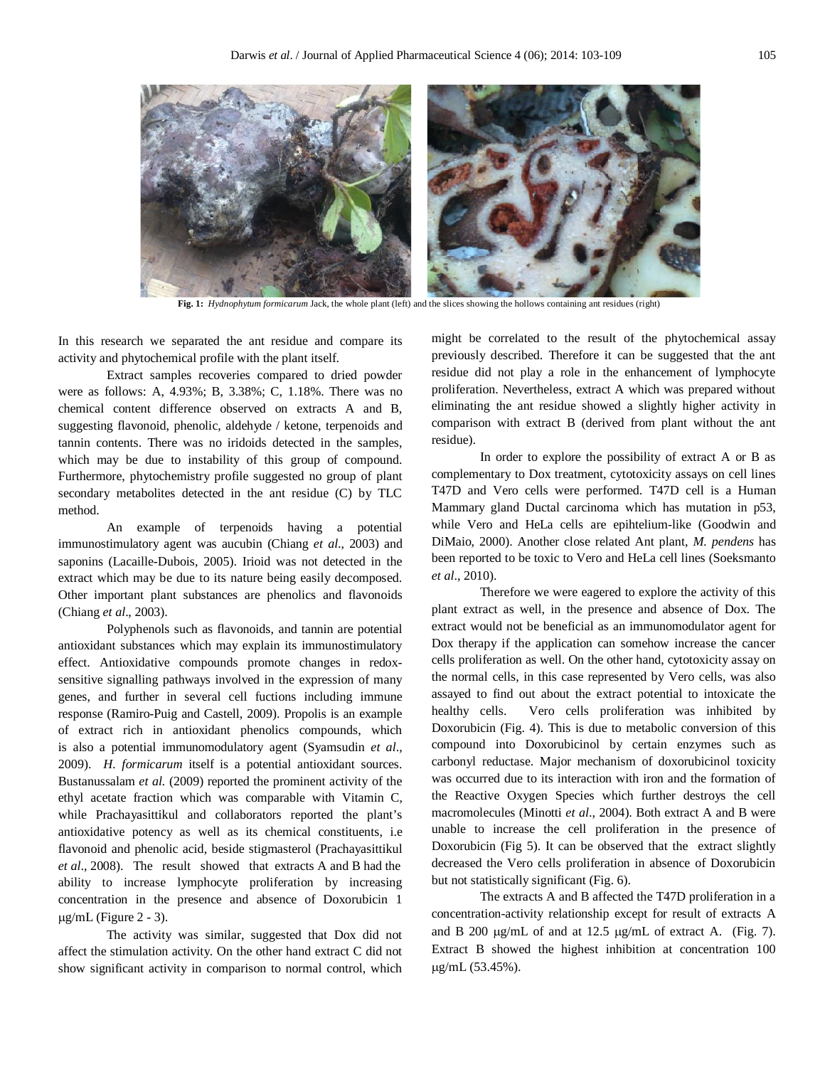

In this research we separated the ant residue and compare its activity and phytochemical profile with the plant itself.

Extract samples recoveries compared to dried powder were as follows: A, 4.93%; B, 3.38%; C, 1.18%. There was no chemical content difference observed on extracts A and B, suggesting flavonoid, phenolic, aldehyde / ketone, terpenoids and tannin contents. There was no iridoids detected in the samples, which may be due to instability of this group of compound. Furthermore, phytochemistry profile suggested no group of plant secondary metabolites detected in the ant residue (C) by TLC method.

An example of terpenoids having a potential immunostimulatory agent was aucubin (Chiang *et al*., 2003) and saponins (Lacaille-Dubois, 2005). Irioid was not detected in the extract which may be due to its nature being easily decomposed. Other important plant substances are phenolics and flavonoids (Chiang *et al*., 2003).

Polyphenols such as flavonoids, and tannin are potential antioxidant substances which may explain its immunostimulatory effect. Antioxidative compounds promote changes in redoxsensitive signalling pathways involved in the expression of many genes, and further in several cell fuctions including immune response (Ramiro-Puig and Castell, 2009). Propolis is an example of extract rich in antioxidant phenolics compounds, which is also a potential immunomodulatory agent (Syamsudin *et al*., 2009). *H. formicarum* itself is a potential antioxidant sources. Bustanussalam *et al.* (2009) reported the prominent activity of the ethyl acetate fraction which was comparable with Vitamin C, while Prachayasittikul and collaborators reported the plant's antioxidative potency as well as its chemical constituents, i.e flavonoid and phenolic acid, beside stigmasterol (Prachayasittikul *et al*., 2008). The result showed that extracts A and B had the ability to increase lymphocyte proliferation by increasing concentration in the presence and absence of Doxorubicin 1  $\mu$ g/mL (Figure 2 - 3).

The activity was similar, suggested that Dox did not affect the stimulation activity. On the other hand extract C did not show significant activity in comparison to normal control, which might be correlated to the result of the phytochemical assay previously described. Therefore it can be suggested that the ant residue did not play a role in the enhancement of lymphocyte proliferation. Nevertheless, extract A which was prepared without eliminating the ant residue showed a slightly higher activity in comparison with extract B (derived from plant without the ant residue).

In order to explore the possibility of extract A or B as complementary to Dox treatment, cytotoxicity assays on cell lines T47D and Vero cells were performed. T47D cell is a Human Mammary gland Ductal carcinoma which has mutation in p53, while Vero and HeLa cells are epihtelium-like (Goodwin and DiMaio, 2000). Another close related Ant plant, *M. pendens* has been reported to be toxic to Vero and HeLa cell lines (Soeksmanto *et al*., 2010).

Therefore we were eagered to explore the activity of this plant extract as well, in the presence and absence of Dox. The extract would not be beneficial as an immunomodulator agent for Dox therapy if the application can somehow increase the cancer cells proliferation as well. On the other hand, cytotoxicity assay on the normal cells, in this case represented by Vero cells, was also assayed to find out about the extract potential to intoxicate the healthy cells. Vero cells proliferation was inhibited by Doxorubicin (Fig. 4). This is due to metabolic conversion of this compound into Doxorubicinol by certain enzymes such as carbonyl reductase. Major mechanism of doxorubicinol toxicity was occurred due to its interaction with iron and the formation of the Reactive Oxygen Species which further destroys the cell macromolecules (Minotti *et al*., 2004). Both extract A and B were unable to increase the cell proliferation in the presence of Doxorubicin (Fig 5). It can be observed that the extract slightly decreased the Vero cells proliferation in absence of Doxorubicin but not statistically significant (Fig. 6).

The extracts A and B affected the T47D proliferation in a concentration-activity relationship except for result of extracts A and B 200  $\mu$ g/mL of and at 12.5  $\mu$ g/mL of extract A. (Fig. 7). Extract B showed the highest inhibition at concentration 100 g/mL (53.45%).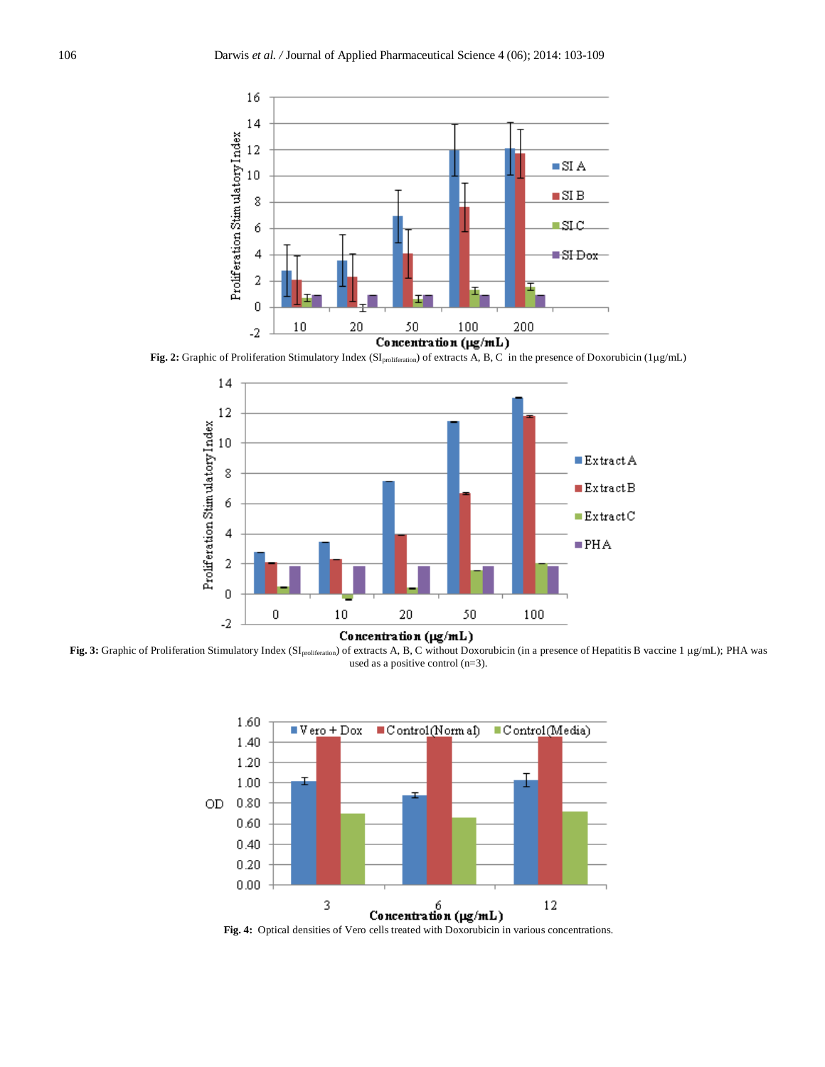

Fig. 2: Graphic of Proliferation Stimulatory Index (SI<sub>proliferation</sub>) of extracts A, B, C in the presence of Doxorubicin (1µg/mL)



Concentration (µg/mL)

Fig. 3: Graphic of Proliferation Stimulatory Index (SI<sub>proliferation</sub>) of extracts A, B, C without Doxorubicin (in a presence of Hepatitis B vaccine 1 µg/mL); PHA was used as a positive control (n=3).



Fig. 4: Optical densities of Vero cells treated with Doxorubicin in various concentrations.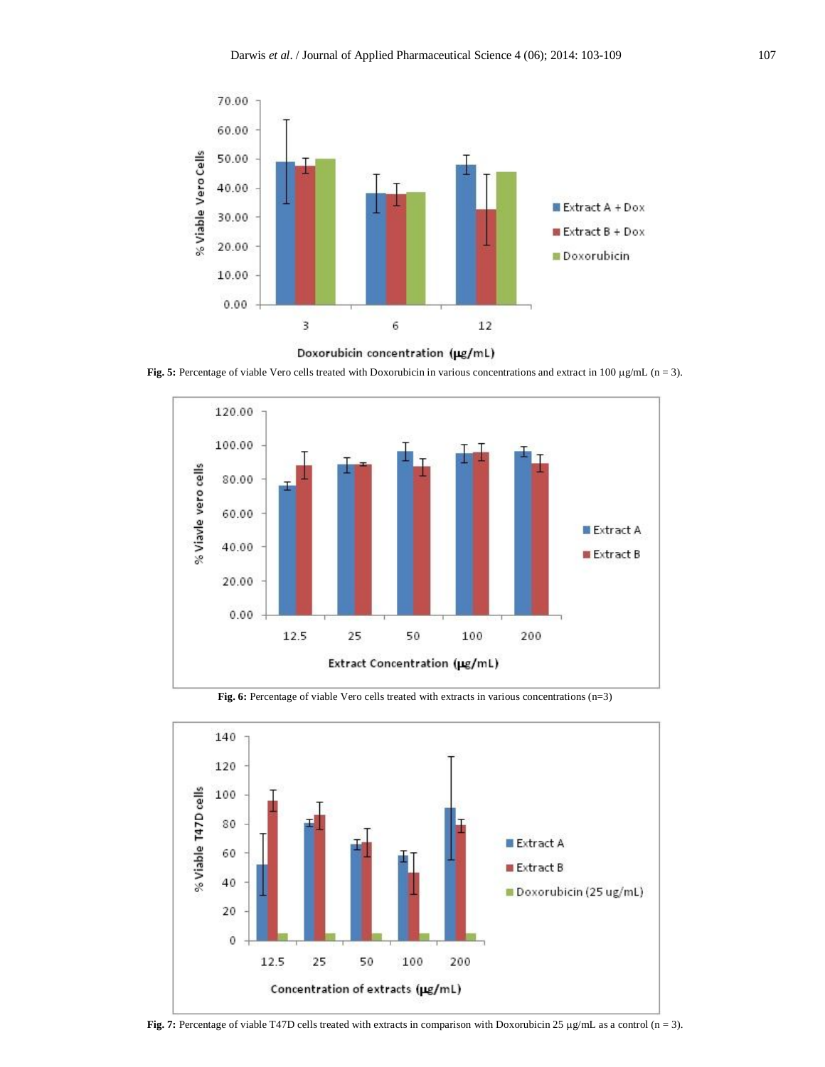



**Fig. 5:** Percentage of viable Vero cells treated with Doxorubicin in various concentrations and extract in 100  $\mu$ g/mL (n = 3).



**Fig. 6:** Percentage of viable Vero cells treated with extracts in various concentrations (n=3)



Fig. 7: Percentage of viable T47D cells treated with extracts in comparison with Doxorubicin 25 µg/mL as a control (n = 3).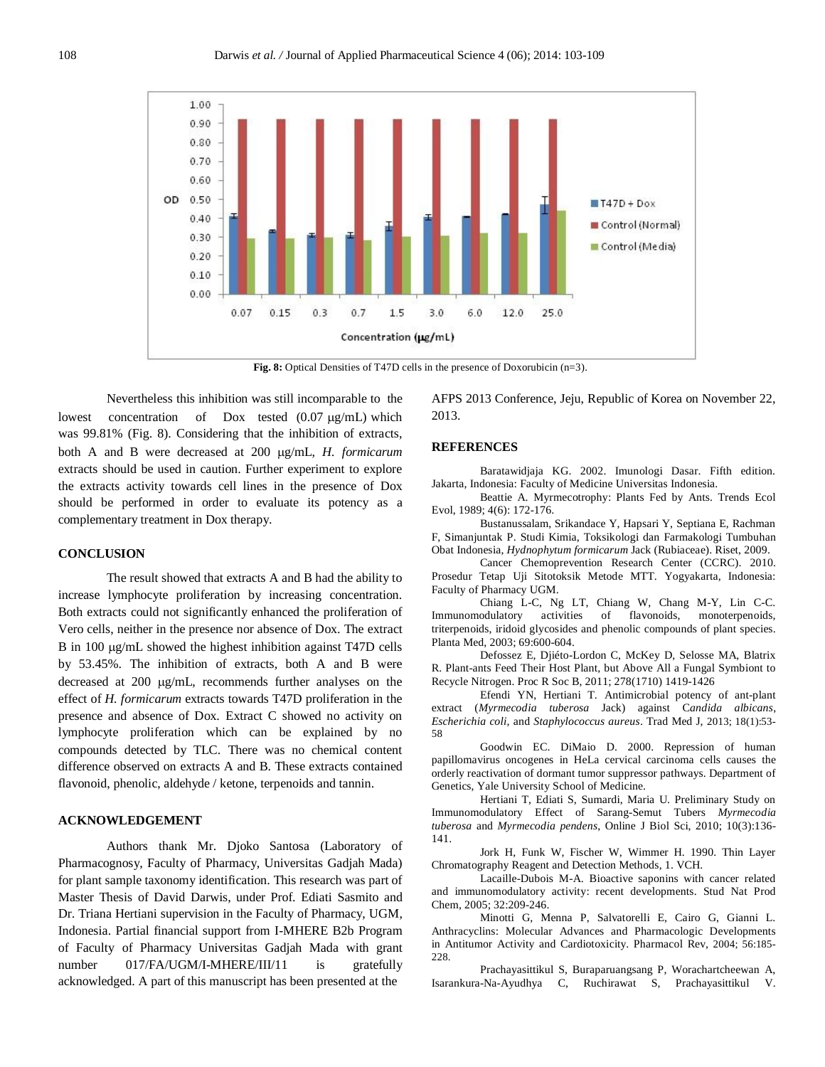

**Fig. 8:** Optical Densities of T47D cells in the presence of Doxorubicin (n=3).

Nevertheless this inhibition was still incomparable to the lowest concentration of Dox tested  $(0.07 \mu g/mL)$  which was 99.81% (Fig. 8). Considering that the inhibition of extracts, both A and B were decreased at 200 µg/mL, *H. formicarum* extracts should be used in caution. Further experiment to explore the extracts activity towards cell lines in the presence of Dox should be performed in order to evaluate its potency as a complementary treatment in Dox therapy.

#### **CONCLUSION**

The result showed that extracts A and B had the ability to increase lymphocyte proliferation by increasing concentration. Both extracts could not significantly enhanced the proliferation of Vero cells, neither in the presence nor absence of Dox. The extract B in 100  $\mu$ g/mL showed the highest inhibition against T47D cells by 53.45%. The inhibition of extracts, both A and B were decreased at  $200 \mu g/mL$ , recommends further analyses on the effect of *H. formicarum* extracts towards T47D proliferation in the presence and absence of Dox. Extract C showed no activity on lymphocyte proliferation which can be explained by no compounds detected by TLC. There was no chemical content difference observed on extracts A and B. These extracts contained flavonoid, phenolic, aldehyde / ketone, terpenoids and tannin.

#### **ACKNOWLEDGEMENT**

Authors thank Mr. Djoko Santosa (Laboratory of Pharmacognosy, Faculty of Pharmacy, Universitas Gadjah Mada) for plant sample taxonomy identification. This research was part of Master Thesis of David Darwis, under Prof. Ediati Sasmito and Dr. Triana Hertiani supervision in the Faculty of Pharmacy, UGM, Indonesia. Partial financial support from I-MHERE B2b Program of Faculty of Pharmacy Universitas Gadjah Mada with grant number 017/FA/UGM/I-MHERE/III/11 is gratefully acknowledged. A part of this manuscript has been presented at the

AFPS 2013 Conference, Jeju, Republic of Korea on November 22, 2013.

#### **REFERENCES**

Baratawidjaja KG. 2002. Imunologi Dasar. Fifth edition. Jakarta, Indonesia: Faculty of Medicine Universitas Indonesia.

Beattie A. Myrmecotrophy: Plants Fed by Ants. Trends Ecol Evol, 1989; 4(6): 172-176.

Bustanussalam, Srikandace Y, Hapsari Y, Septiana E, Rachman F, Simanjuntak P. Studi Kimia, Toksikologi dan Farmakologi Tumbuhan Obat Indonesia, *Hydnophytum formicarum* Jack (Rubiaceae). Riset, 2009.

Cancer Chemoprevention Research Center (CCRC). 2010. Prosedur Tetap Uji Sitotoksik Metode MTT. Yogyakarta, Indonesia: Faculty of Pharmacy UGM.

Chiang L-C, Ng LT, Chiang W, Chang M-Y, Lin C-C. Immunomodulatory activities of flavonoids, monoterpenoids, triterpenoids, iridoid glycosides and phenolic compounds of plant species. Planta Med, 2003; 69:600-604.

Defossez E, Djiéto-Lordon C, McKey D, Selosse MA, Blatrix R. Plant-ants Feed Their Host Plant, but Above All a Fungal Symbiont to Recycle Nitrogen. Proc R Soc B, 2011; 278(1710) 1419-1426

Efendi YN, Hertiani T. Antimicrobial potency of ant-plant extract (*Myrmecodia tuberosa* Jack) against C*andida albicans*, *Escherichia coli,* and *Staphylococcus aureus*. Trad Med J, 2013; 18(1):53- 58

Goodwin EC. DiMaio D. 2000. Repression of human papillomavirus oncogenes in HeLa cervical carcinoma cells causes the orderly reactivation of dormant tumor suppressor pathways. Department of Genetics, Yale University School of Medicine.

Hertiani T, Ediati S, Sumardi, Maria U. Preliminary Study on Immunomodulatory Effect of Sarang-Semut Tubers *Myrmecodia tuberosa* and *Myrmecodia pendens*, Online J Biol Sci, 2010; 10(3):136- 141.

Jork H, Funk W, Fischer W, Wimmer H. 1990. Thin Layer Chromatography Reagent and Detection Methods, 1. VCH.

Lacaille-Dubois M-A. Bioactive saponins with cancer related and immunomodulatory activity: recent developments. Stud Nat Prod Chem, 2005; 32:209-246.

Minotti G, Menna P, Salvatorelli E, Cairo G, Gianni L. Anthracyclins: Molecular Advances and Pharmacologic Developments in Antitumor Activity and Cardiotoxicity. Pharmacol Rev, 2004; 56:185- 228.

Prachayasittikul S, Buraparuangsang P, Worachartcheewan A, Isarankura-Na-Ayudhya C, Ruchirawat S, Prachayasittikul V.